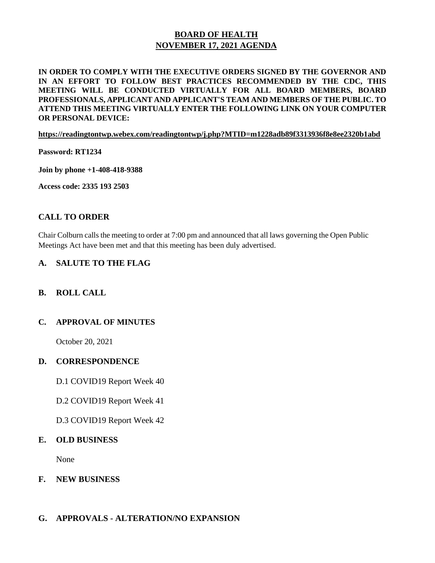# **BOARD OF HEALTH NOVEMBER 17, 2021 AGENDA**

## **IN ORDER TO COMPLY WITH THE EXECUTIVE ORDERS SIGNED BY THE GOVERNOR AND IN AN EFFORT TO FOLLOW BEST PRACTICES RECOMMENDED BY THE CDC, THIS MEETING WILL BE CONDUCTED VIRTUALLY FOR ALL BOARD MEMBERS, BOARD PROFESSIONALS, APPLICANT AND APPLICANT'S TEAM AND MEMBERS OF THE PUBLIC. TO ATTEND THIS MEETING VIRTUALLY ENTER THE FOLLOWING LINK ON YOUR COMPUTER OR PERSONAL DEVICE:**

#### **https://readingtontwp.webex.com/readingtontwp/j.php?MTID=m1228adb89f3313936f8e8ee2320b1abd**

**Password: RT1234**

**Join by phone +1-408-418-9388**

**Access code: 2335 193 2503**

## **CALL TO ORDER**

Chair Colburn calls the meeting to order at 7:00 pm and announced that all laws governing the Open Public Meetings Act have been met and that this meeting has been duly advertised.

## **A. SALUTE TO THE FLAG**

## **B. ROLL CALL**

## **C. APPROVAL OF MINUTES**

October 20, 2021

#### **D. CORRESPONDENCE**

D.1 COVID19 Report Week 40

D.2 COVID19 Report Week 41

D.3 COVID19 Report Week 42

#### **E. OLD BUSINESS**

None

**F. NEW BUSINESS**

## **G. APPROVALS - ALTERATION/NO EXPANSION**